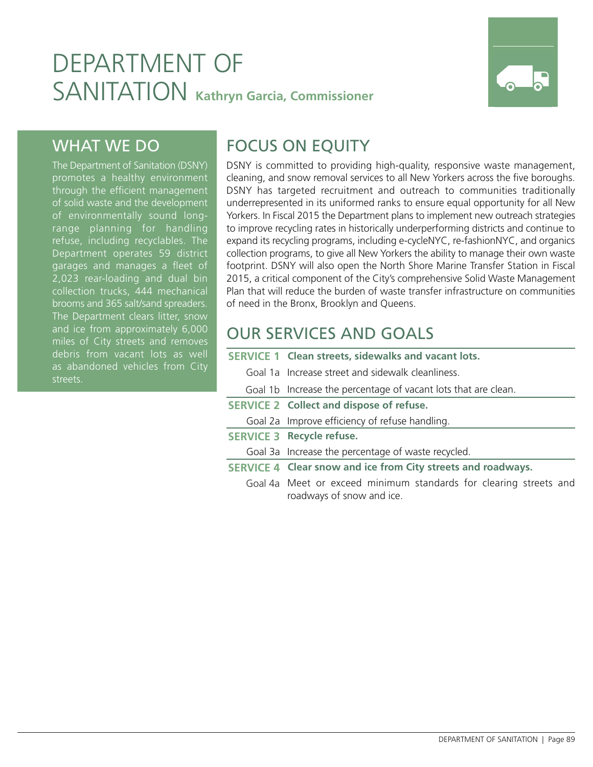# DEPARTMENT OF SANITATION **Kathryn Garcia, Commissioner**



### WHAT WE DO

The Department of Sanitation (DSNY) promotes a healthy environment through the efficient management of solid waste and the development of environmentally sound longrange planning for handling refuse, including recyclables. The Department operates 59 district garages and manages a fleet of 2,023 rear-loading and dual bin collection trucks, 444 mechanical brooms and 365 salt/sand spreaders. The Department clears litter, snow and ice from approximately 6,000 miles of City streets and removes debris from vacant lots as well as abandoned vehicles from City streets.

## FOCUS ON EQUITY

DSNY is committed to providing high-quality, responsive waste management, cleaning, and snow removal services to all New Yorkers across the five boroughs. DSNY has targeted recruitment and outreach to communities traditionally underrepresented in its uniformed ranks to ensure equal opportunity for all New Yorkers. In Fiscal 2015 the Department plans to implement new outreach strategies to improve recycling rates in historically underperforming districts and continue to expand its recycling programs, including e-cycleNYC, re-fashionNYC, and organics collection programs, to give all New Yorkers the ability to manage their own waste footprint. DSNY will also open the North Shore Marine Transfer Station in Fiscal 2015, a critical component of the City's comprehensive Solid Waste Management Plan that will reduce the burden of waste transfer infrastructure on communities of need in the Bronx, Brooklyn and Queens.

## OUR SERVICES AND GOALS

- **SERVICE 1 Clean streets, sidewalks and vacant lots.**
	- Goal 1a Increase street and sidewalk cleanliness.
	- Goal 1b Increase the percentage of vacant lots that are clean.
- **SERVICE 2 Collect and dispose of refuse.**
	- Goal 2a Improve efficiency of refuse handling.
- **SERVICE 3 Recycle refuse.**
	- Goal 3a Increase the percentage of waste recycled.
- **SERVICE 4 Clear snow and ice from City streets and roadways.**
	- Goal 4a Meet or exceed minimum standards for clearing streets and roadways of snow and ice.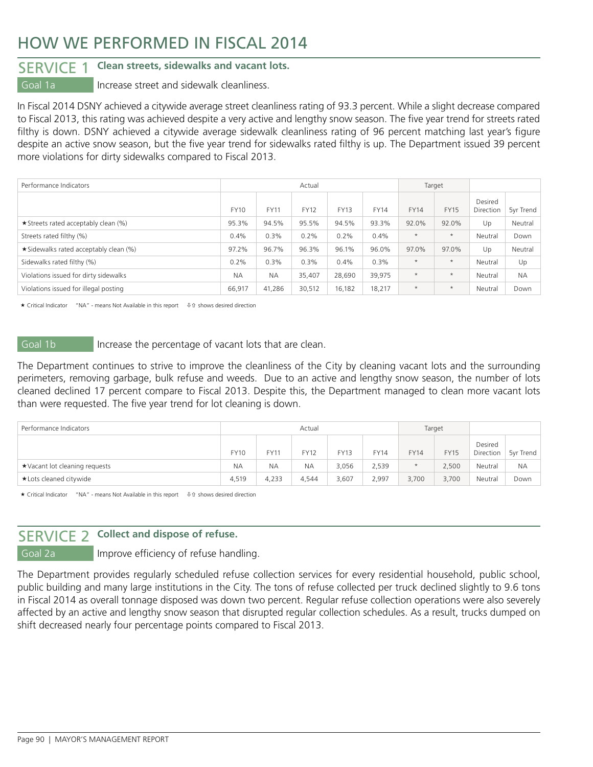### HOW WE PERFORMED IN FISCAL 2014

### SERVICE 1 **Clean streets, sidewalks and vacant lots.**

Goal 1a **Increase street and sidewalk cleanliness.** 

In Fiscal 2014 DSNY achieved a citywide average street cleanliness rating of 93.3 percent. While a slight decrease compared to Fiscal 2013, this rating was achieved despite a very active and lengthy snow season. The five year trend for streets rated filthy is down. DSNY achieved a citywide average sidewalk cleanliness rating of 96 percent matching last year's figure despite an active snow season, but the five year trend for sidewalks rated filthy is up. The Department issued 39 percent more violations for dirty sidewalks compared to Fiscal 2013.

| Performance Indicators                |             |             | Actual      |             |             | Target      |             |                      |           |
|---------------------------------------|-------------|-------------|-------------|-------------|-------------|-------------|-------------|----------------------|-----------|
|                                       | <b>FY10</b> | <b>FY11</b> | <b>FY12</b> | <b>FY13</b> | <b>FY14</b> | <b>FY14</b> | <b>FY15</b> | Desired<br>Direction | 5yr Trend |
| ★ Streets rated acceptably clean (%)  | 95.3%       | 94.5%       | 95.5%       | 94.5%       | 93.3%       | 92.0%       | 92.0%       | Up                   | Neutral   |
| Streets rated filthy (%)              | 0.4%        | 0.3%        | 0.2%        | 0.2%        | 0.4%        | $\star$     | $\star$     | Neutral              | Down      |
| ★Sidewalks rated acceptably clean (%) | 97.2%       | 96.7%       | 96.3%       | 96.1%       | 96.0%       | 97.0%       | 97.0%       | Up                   | Neutral   |
| Sidewalks rated filthy (%)            | 0.2%        | 0.3%        | 0.3%        | 0.4%        | 0.3%        | $\star$     | $\star$     | Neutral              | Up        |
| Violations issued for dirty sidewalks | <b>NA</b>   | <b>NA</b>   | 35,407      | 28,690      | 39.975      | $\star$     | $\star$     | Neutral              | <b>NA</b> |
| Violations issued for illegal posting | 66,917      | 41,286      | 30,512      | 16,182      | 18,217      | $\star$     | $\star$     | Neutral              | Down      |

 $\star$  Critical Indicator "NA" - means Not Available in this report  $\theta$  is shows desired direction

Goal 1b Increase the percentage of vacant lots that are clean.

The Department continues to strive to improve the cleanliness of the City by cleaning vacant lots and the surrounding perimeters, removing garbage, bulk refuse and weeds. Due to an active and lengthy snow season, the number of lots cleaned declined 17 percent compare to Fiscal 2013. Despite this, the Department managed to clean more vacant lots than were requested. The five year trend for lot cleaning is down.

| Performance Indicators        |             |           | Actual      |             | Target      |             |             |                      |           |
|-------------------------------|-------------|-----------|-------------|-------------|-------------|-------------|-------------|----------------------|-----------|
|                               | <b>FY10</b> | FY11      | <b>FY12</b> | <b>FY13</b> | <b>FY14</b> | <b>FY14</b> | <b>FY15</b> | Desired<br>Direction | 5yr Trend |
| ★Vacant lot cleaning requests | <b>NA</b>   | <b>NA</b> | <b>NA</b>   | 3,056       | 2,539       | $\star$     | 2.500       | Neutral              | <b>NA</b> |
| *Lots cleaned citywide        | 4.519       | 4,233     | 4.544       | 3,607       | 2,997       | 3,700       | 3.700       | Neutral              | Down      |

 $\star$  Critical Indicator "NA" - means Not Available in this report  $\quad \oplus \text{ of } s$  shows desired direction

### SERVICE 2 **Collect and dispose of refuse.**

Goal 2a **Improve efficiency of refuse handling.** 

The Department provides regularly scheduled refuse collection services for every residential household, public school, public building and many large institutions in the City. The tons of refuse collected per truck declined slightly to 9.6 tons in Fiscal 2014 as overall tonnage disposed was down two percent. Regular refuse collection operations were also severely affected by an active and lengthy snow season that disrupted regular collection schedules. As a result, trucks dumped on shift decreased nearly four percentage points compared to Fiscal 2013.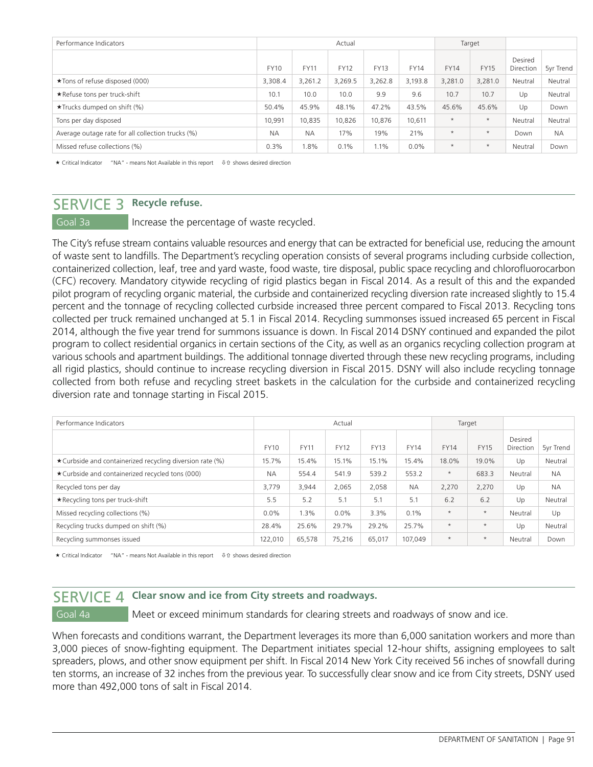| Performance Indicators                            |             |             | Actual      |             |             | Target      |             |                      |           |
|---------------------------------------------------|-------------|-------------|-------------|-------------|-------------|-------------|-------------|----------------------|-----------|
|                                                   | <b>FY10</b> | <b>FY11</b> | <b>FY12</b> | <b>FY13</b> | <b>FY14</b> | <b>FY14</b> | <b>FY15</b> | Desired<br>Direction | 5yr Trend |
| ★Tons of refuse disposed (000)                    | 3,308.4     | 3,261.2     | 3,269.5     | 3,262.8     | 3,193.8     | 3,281.0     | 3,281.0     | Neutral              | Neutral   |
| *Refuse tons per truck-shift                      | 10.1        | 10.0        | 10.0        | 9.9         | 9.6         | 10.7        | 10.7        | Up                   | Neutral   |
| $\star$ Trucks dumped on shift (%)                | 50.4%       | 45.9%       | 48.1%       | 47.2%       | 43.5%       | 45.6%       | 45.6%       | Up                   | Down      |
| Tons per day disposed                             | 10.991      | 10.835      | 10.826      | 10.876      | 10,611      | $\star$     | $\star$     | Neutral              | Neutral   |
| Average outage rate for all collection trucks (%) | <b>NA</b>   | <b>NA</b>   | 17%         | 19%         | 21%         | $\star$     | $\star$     | Down                 | <b>NA</b> |
| Missed refuse collections (%)                     | 0.3%        | 1.8%        | 0.1%        | 1.1%        | 0.0%        | $\star$     | $\star$     | Neutral              | Down      |

 $\star$  Critical Indicator "NA" - means Not Available in this report  $\theta$  is shows desired direction

### SERVICE 3 **Recycle refuse.**

Goal 3a **Increase the percentage of waste recycled.** 

The City's refuse stream contains valuable resources and energy that can be extracted for beneficial use, reducing the amount of waste sent to landfills. The Department's recycling operation consists of several programs including curbside collection, containerized collection, leaf, tree and yard waste, food waste, tire disposal, public space recycling and chlorofluorocarbon (CFC) recovery. Mandatory citywide recycling of rigid plastics began in Fiscal 2014. As a result of this and the expanded pilot program of recycling organic material, the curbside and containerized recycling diversion rate increased slightly to 15.4 percent and the tonnage of recycling collected curbside increased three percent compared to Fiscal 2013. Recycling tons collected per truck remained unchanged at 5.1 in Fiscal 2014. Recycling summonses issued increased 65 percent in Fiscal 2014, although the five year trend for summons issuance is down. In Fiscal 2014 DSNY continued and expanded the pilot program to collect residential organics in certain sections of the City, as well as an organics recycling collection program at various schools and apartment buildings. The additional tonnage diverted through these new recycling programs, including all rigid plastics, should continue to increase recycling diversion in Fiscal 2015. DSNY will also include recycling tonnage collected from both refuse and recycling street baskets in the calculation for the curbside and containerized recycling diversion rate and tonnage starting in Fiscal 2015.

| Performance Indicators                                    |             |             | Actual      |             |             |             | Target      |                      |           |
|-----------------------------------------------------------|-------------|-------------|-------------|-------------|-------------|-------------|-------------|----------------------|-----------|
|                                                           | <b>FY10</b> | <b>FY11</b> | <b>FY12</b> | <b>FY13</b> | <b>FY14</b> | <b>FY14</b> | <b>FY15</b> | Desired<br>Direction | 5vr Trend |
| ★ Curbside and containerized recycling diversion rate (%) | 15.7%       | 15.4%       | 15.1%       | 15.1%       | 15.4%       | 18.0%       | 19.0%       | Up                   | Neutral   |
| ★ Curbside and containerized recycled tons (000)          | <b>NA</b>   | 554.4       | 541.9       | 539.2       | 553.2       | $\star$     | 683.3       | Neutral              | <b>NA</b> |
| Recycled tons per day                                     | 3,779       | 3,944       | 2,065       | 2,058       | <b>NA</b>   | 2,270       | 2,270       | Up                   | <b>NA</b> |
| ★ Recycling tons per truck-shift                          | 5.5         | 5.2         | 5.1         | 5.1         | 5.1         | 6.2         | 6.2         | Up                   | Neutral   |
| Missed recycling collections (%)                          | $0.0\%$     | $.3\%$      | $0.0\%$     | 3.3%        | 0.1%        | $\star$     | $\star$     | Neutral              | Up        |
| Recycling trucks dumped on shift (%)                      | 28.4%       | 25.6%       | 29.7%       | 29.2%       | 25.7%       | $\star$     | $\star$     | Up                   | Neutral   |
| Recycling summonses issued                                | 122,010     | 65,578      | 75,216      | 65,017      | 107.049     | $\star$     | $\star$     | Neutral              | Down      |

 $\star$  Critical Indicator "NA" - means Not Available in this report  $\theta$  is shows desired direction

### SERVICE 4 **Clear snow and ice from City streets and roadways.**

Goal 4a Meet or exceed minimum standards for clearing streets and roadways of snow and ice.

When forecasts and conditions warrant, the Department leverages its more than 6,000 sanitation workers and more than 3,000 pieces of snow-fighting equipment. The Department initiates special 12-hour shifts, assigning employees to salt spreaders, plows, and other snow equipment per shift. In Fiscal 2014 New York City received 56 inches of snowfall during ten storms, an increase of 32 inches from the previous year. To successfully clear snow and ice from City streets, DSNY used more than 492,000 tons of salt in Fiscal 2014.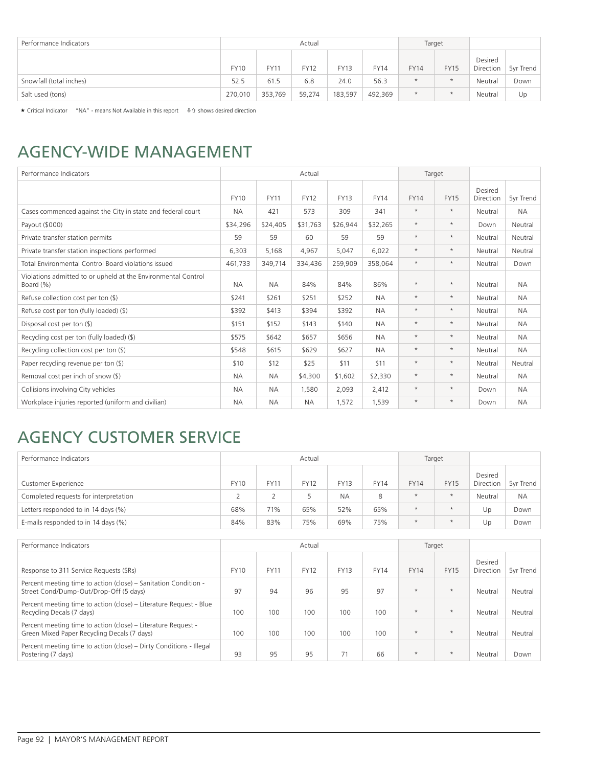| Performance Indicators  | Actual      |         |             |             |             |             | Target      |                      |           |
|-------------------------|-------------|---------|-------------|-------------|-------------|-------------|-------------|----------------------|-----------|
|                         | <b>FY10</b> | FY11    | <b>FY12</b> | <b>FY13</b> | <b>FY14</b> | <b>FY14</b> | <b>FY15</b> | Desired<br>Direction | 5yr Trend |
| Snowfall (total inches) | 52.5        | 61.5    | 6.8         | 24.0        | 56.3        | $\star$     | $\star$     | Neutral              | Down      |
| Salt used (tons)        | 270,010     | 353,769 | 59,274      | 183,597     | 492,369     | $\star$     | $\star$     | Neutral              | Up        |

 $\star$  Critical Indicator "NA" - means Not Available in this report  $\theta$  is shows desired direction

### AGENCY-WIDE MANAGEMENT

| Performance Indicators                                                     |             |             | Actual      |             |             | Target      |             |                      |           |
|----------------------------------------------------------------------------|-------------|-------------|-------------|-------------|-------------|-------------|-------------|----------------------|-----------|
|                                                                            | <b>FY10</b> | <b>FY11</b> | <b>FY12</b> | <b>FY13</b> | <b>FY14</b> | <b>FY14</b> | <b>FY15</b> | Desired<br>Direction | 5yr Trend |
| Cases commenced against the City in state and federal court                | <b>NA</b>   | 421         | 573         | 309         | 341         | $\star$     | $\star$     | Neutral              | <b>NA</b> |
| Payout (\$000)                                                             | \$34,296    | \$24,405    | \$31,763    | \$26,944    | \$32,265    | $\ast$      | $\star$     | Down                 | Neutral   |
| Private transfer station permits                                           | 59          | 59          | 60          | 59          | 59          | $\star$     | $\star$     | Neutral              | Neutral   |
| Private transfer station inspections performed                             | 6,303       | 5,168       | 4,967       | 5,047       | 6,022       | $\star$     | $\star$     | Neutral              | Neutral   |
| Total Environmental Control Board violations issued                        | 461,733     | 349,714     | 334,436     | 259,909     | 358.064     | $\star$     | $\star$     | Neutral              | Down      |
| Violations admitted to or upheld at the Environmental Control<br>Board (%) | <b>NA</b>   | <b>NA</b>   | 84%         | 84%         | 86%         | $\star$     | $\star$     | Neutral              | <b>NA</b> |
| Refuse collection cost per ton $(\$)$                                      | \$241       | \$261       | \$251       | \$252       | <b>NA</b>   | $\star$     | $\star$     | Neutral              | <b>NA</b> |
| Refuse cost per ton (fully loaded) (\$)                                    | \$392       | \$413       | \$394       | \$392       | <b>NA</b>   | $\star$     | $\star$     | Neutral              | <b>NA</b> |
| Disposal cost per ton (\$)                                                 | \$151       | \$152       | \$143       | \$140       | <b>NA</b>   | $\star$     | $\star$     | Neutral              | <b>NA</b> |
| Recycling cost per ton (fully loaded) (\$)                                 | \$575       | \$642       | \$657       | \$656       | <b>NA</b>   | $\ast$      | $\star$     | Neutral              | <b>NA</b> |
| Recycling collection cost per ton $(\$)$                                   | \$548       | \$615       | \$629       | \$627       | <b>NA</b>   | $\ast$      | $\star$     | Neutral              | <b>NA</b> |
| Paper recycling revenue per ton $(\frac{1}{2})$                            | \$10        | \$12        | \$25        | \$11        | \$11        | $\ast$      | $\star$     | Neutral              | Neutral   |
| Removal cost per inch of snow $(\$)$                                       | <b>NA</b>   | <b>NA</b>   | \$4,300     | \$1,602     | \$2,330     | $\ast$      | $\star$     | Neutral              | <b>NA</b> |
| Collisions involving City vehicles                                         | <b>NA</b>   | <b>NA</b>   | 1,580       | 2,093       | 2,412       | $\ast$      | $\star$     | Down                 | <b>NA</b> |
| Workplace injuries reported (uniform and civilian)                         | <b>NA</b>   | <b>NA</b>   | <b>NA</b>   | 1,572       | 1,539       | $\star$     | $\star$     | Down                 | <b>NA</b> |

## AGENCY CUSTOMER SERVICE

| Performance Indicators                |             |             | Actual      |             |             | Target      |             |                      |           |
|---------------------------------------|-------------|-------------|-------------|-------------|-------------|-------------|-------------|----------------------|-----------|
| Customer Experience                   | <b>FY10</b> | <b>FY11</b> | <b>FY12</b> | <b>FY13</b> | <b>FY14</b> | <b>FY14</b> | <b>FY15</b> | Desired<br>Direction | 5yr Trend |
| Completed requests for interpretation |             |             |             | <b>NA</b>   | 8           | $\star$     | $\star$     | Neutral              | <b>NA</b> |
| Letters responded to in 14 days (%)   | 68%         | 71%         | 65%         | 52%         | 65%         | $\star$     | $\star$     | Up                   | Down      |
| E-mails responded to in 14 days (%)   | 84%         | 83%         | 75%         | 69%         | 75%         | $\star$     | ×           | Up                   | Down      |

| Performance Indicators                                                                                       |             |             | Actual      |             |             | Target      |             |                      |           |
|--------------------------------------------------------------------------------------------------------------|-------------|-------------|-------------|-------------|-------------|-------------|-------------|----------------------|-----------|
| Response to 311 Service Requests (SRs)                                                                       | <b>FY10</b> | <b>FY11</b> | <b>FY12</b> | <b>FY13</b> | <b>FY14</b> | <b>FY14</b> | <b>FY15</b> | Desired<br>Direction | 5yr Trend |
| Percent meeting time to action (close) – Sanitation Condition -<br>Street Cond/Dump-Out/Drop-Off (5 days)    | 97          | 94          | 96          | 95          | 97          | $\star$     | $\star$     | Neutral              | Neutral   |
| Percent meeting time to action (close) – Literature Request - Blue<br>Recycling Decals (7 days)              | 100         | 100         | 100         | 100         | 100         | $\star$     | $\star$     | Neutral              | Neutral   |
| Percent meeting time to action (close) – Literature Request -<br>Green Mixed Paper Recycling Decals (7 days) | 100         | 100         | 100         | 100         | 100         | $\star$     | $\star$     | Neutral              | Neutral   |
| Percent meeting time to action (close) – Dirty Conditions - Illegal<br>Postering (7 days)                    | 93          | 95          | 95          | 71          | 66          | $\star$     | $\star$     | Neutral              | Down      |